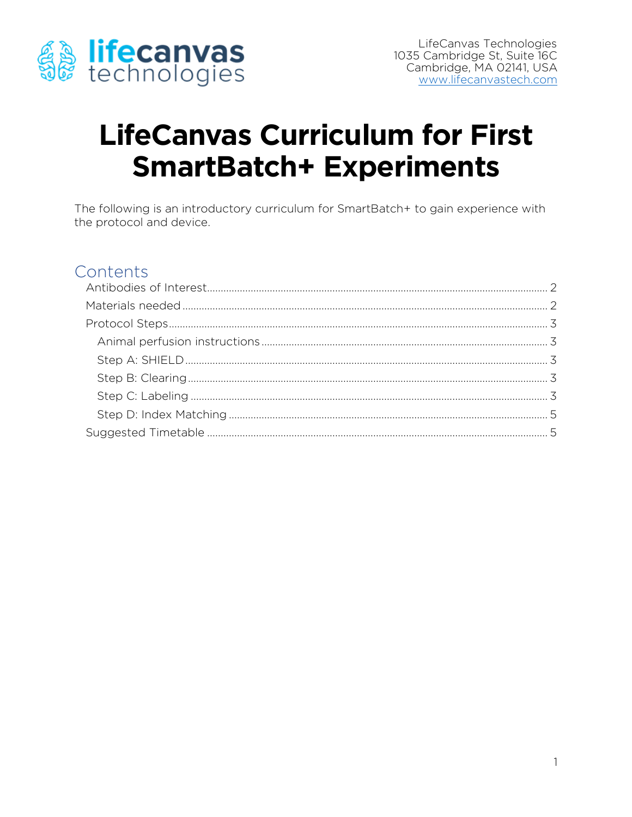

# **LifeCanvas Curriculum for First SmartBatch+ Experiments**

The following is an introductory curriculum for SmartBatch+ to gain experience with the protocol and device.

### Contents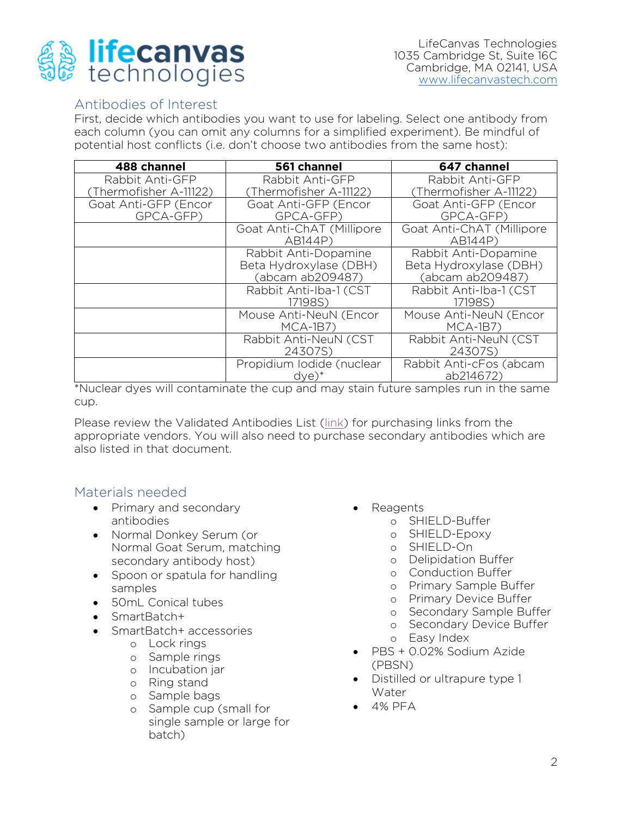

### <span id="page-1-0"></span>Antibodies of Interest

First, decide which antibodies you want to use for labeling. Select one antibody from each column (you can omit any columns for a simplified experiment). Be mindful of potential host conflicts (i.e. don't choose two antibodies from the same host): potential host conflicts (i.e. don't choose two antibodies from the same host):

| 488 channel            | 561 channel               | 647 channel               |
|------------------------|---------------------------|---------------------------|
| Rabbit Anti-GFP        | Rabbit Anti-GFP           | Rabbit Anti-GFP           |
| (Thermofisher A-11122) | (Thermofisher A-11122)    | (Thermofisher A-11122)    |
| Goat Anti-GFP (Encor   | Goat Anti-GFP (Encor      | Goat Anti-GFP (Encor      |
| GPCA-GFP)              | GPCA-GFP)                 | GPCA-GFP)                 |
|                        | Goat Anti-ChAT (Millipore | Goat Anti-ChAT (Millipore |
|                        | AB144P)                   | AB144P)                   |
|                        | Rabbit Anti-Dopamine      | Rabbit Anti-Dopamine      |
|                        | Beta Hydroxylase (DBH)    | Beta Hydroxylase (DBH)    |
|                        | (abcam ab209487)          | (abcam ab209487)          |
|                        | Rabbit Anti-Iba-1 (CST    | Rabbit Anti-Iba-1 (CST    |
|                        | 17198S)                   | 17198S)                   |
|                        | Mouse Anti-NeuN (Encor    | Mouse Anti-NeuN (Encor    |
|                        | $MCA-1B7$                 | $MCA-1B7$                 |
|                        | Rabbit Anti-NeuN (CST     | Rabbit Anti-NeuN (CST     |
|                        | 24307S)                   | 24307S)                   |
|                        | Propidium Iodide (nuclear | Rabbit Anti-cFos (abcam   |
|                        | $\frac{d}{e}$             | ab214672                  |

and may stain future samples run in t \*Nuclear dyes will contaminate the cup and may stain future samples run in the same cup.

Please review the Validated Antibodies List [\(link\)](https://lifecanvastech.com/wp-content/uploads/2022/05/SmartLabel-and-SmartBatch-Validated-Antibodies-05.10.22.xlsx) for purchasing links from the appropriate vendors. You will also need to purchase secondary antibodies which are also listed in that document. also listed in that document.

### <span id="page-1-1"></span>Materials needed

- Primary and secondary<br>antibodies
	- Normal Donkey Serum (or<br>• Normal Goat Serum match Normal Goat Serum, matching<br>secondary antibody host)
	- Spoon or spatula for handling<br>samples
	- 50mL Conical tubes<br>• SmartBatch+
	- SmartBatch+
	- SmartBatch+ accessories
		- <sup>o</sup> Lock rings
		- <sup>o</sup> Sample rings
		- <sup>o</sup> Incubation jar
		- <sup>o</sup> Ring stand
		- <sup>o</sup> Sample bags
		- <sup>o</sup> Sample cup (small for batch) batch)
- Reagents
	- <sup>o</sup> SHIELD-Buffer
	- <sup>o</sup> SHIELD-Epoxy
	- <sup>o</sup> SHIELD-On
	- <sup>o</sup> Delipidation Buffer
	- <sup>o</sup> Conduction Buffer
	- <sup>o</sup> Primary Sample Buffer
	- <sup>o</sup> Primary Device Buffer
	- <sup>o</sup> Secondary Sample Buffer
	- <sup>o</sup> Secondary Device Buffer
	- <sup>o</sup> Easy Index
- PBS + 0.02% Sodium Azide
- Distilled or ultrapure type 1
- $-4%$  PFA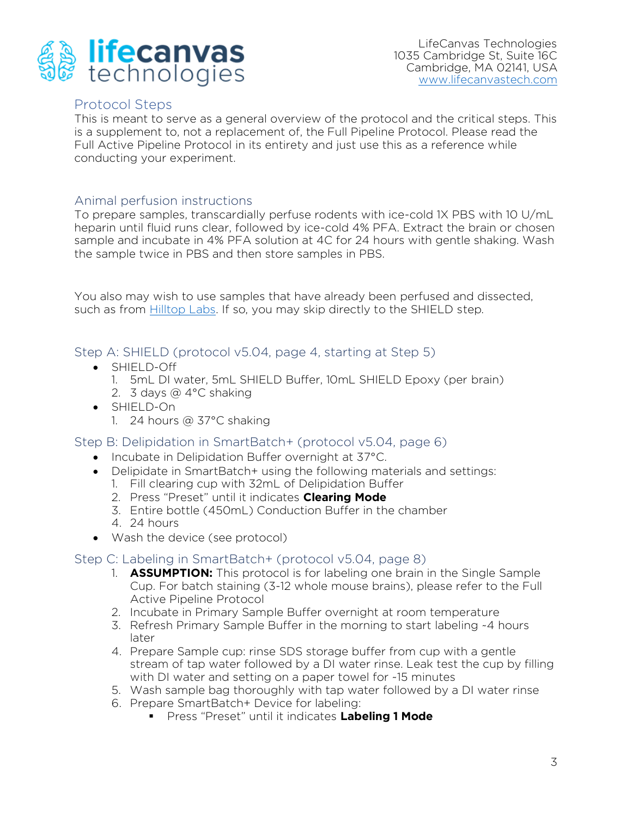

LifeCanvas Technologies 1035 Cambridge St, Suite 16C Cambridge, MA 02141, USA www.lifecanvastech.com ww.lifecanvastech.com

<span id="page-2-0"></span>Protocol Steps<br>This is meant to serve as a general overview of the protocol and the critical steps. This is a supplement to, not a replacement of, the Full Pipeline Protocol. Please read the Full Active Pipeline Protocol in its entirety and just use this as a reference while Full Active Pipeline Protocol in its entirety and just use this as a reference while.<br>Conducting your experiment conducting your experiment.

<span id="page-2-1"></span>Animal perfusion instructions<br>To prepare samples, transcardially perfuse rodents with ice-cold 1X PBS with 10 U/mL heparin until fluid runs clear, followed by ice-cold 4% PFA. Extract the brain or chosen sample and incubate in 4% PFA solution at 4C for 24 hours with gentle shaking. Wash the sample twice in PBS and then store samples in PBS. the sample twice in PBS and then store samples in PBS.

You also may wish to use samples that have already been perfused and dissected, such as from Hilltop Labs. If so, you may skip directly to the SHIELD step. such as from <u>Hillsop Labs.</u> If so, you may ship an early to the SHIELD step.

- 
- <span id="page-2-2"></span>Step A: SHIELD (protocol v5.04, page 4, starting at Step 5) • SHIELD-Off 1. 5mL DI water, 5mL SHIELD Buffer, 10mL SHIELD Epoxy (per brain)<br>2. 3 days @ 4°C shaking
	-
	- SHIELD-On<br>1 24 hours @ 37°C shak
		- $1.24$  hours  $2.76$

<span id="page-2-3"></span>

- Incubate in Delipidation Buffer overnight at 37°C.<br>• Delipidate in SmartBatch+ (using the following materials and
	- Delipidate in SmartBatch+ using the following materials and settings:<br>1. Fill clearing cup with 32mL of Delipidation Buffer
		-
		- 2. Press "Preset" until it indicates **Clearing Mode**
		- 3. Entire bottle (450mL) Conduction Buffer in the chamber
		- 4.  $24$  hours
	- $\bullet$  Wash the device (see protocol)

- <span id="page-2-4"></span>Step C: Labeling in SmartBatch+ (protocol v5.04, page 8)<br>1. **ASSUMPTION:** This protocol is for labeling one brain in the Single Sample Cup. For batch staining (3-12 whole mouse brains), please refer to the Full Active Pipeline Protocol
	- 2. Incubate in Primary Sample Buffer overnight at room temperature
	- 3. Refresh Primary Sample Buffer in the morning to start labeling  $-4$  hours 3. Refresh Primary Sample Buffer in the morning to start labeling ~4 hours
	- 4. Prepare Sample cup: rinse SDS storage buffer from cup with a gentle stream of tap water followed by a DI water rinse. Leak test the cup by filling with DI water and setting on a paper towel for -15 minutes.
	- 5. Wash sample bag thoroughly with tap water followed by a DI water rinse
	- 6. Prepare SmartBatch+ Device for labeling:
	- Press "Preset" until it indicates Labeling 1 Mode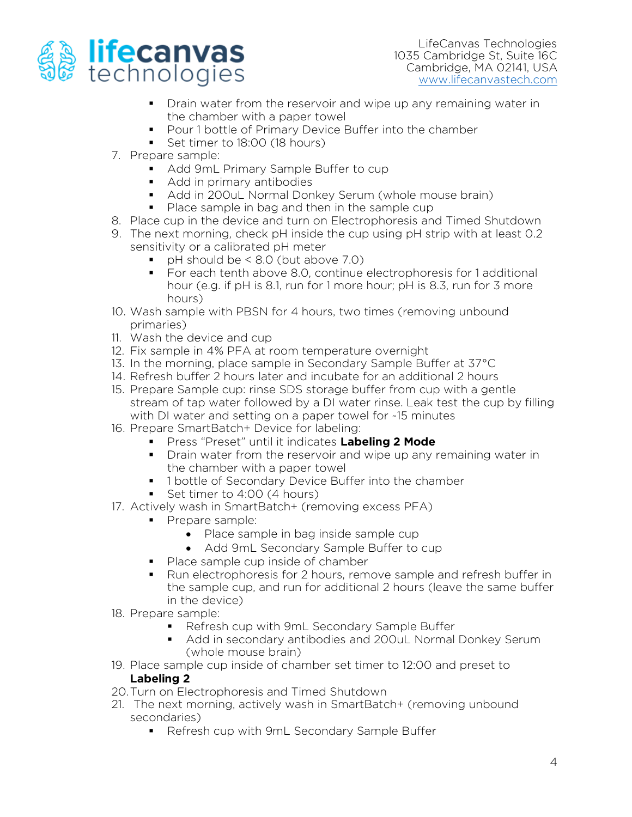

- Drain water from the reservoir and wipe up any remaining water in the chamber with a paper towel
- Pour 1 bottle of Primary Device Buffer into the chamber<br>■ Set timer to 18:00 (18 bours)
- Set timer to 18:00 (18 hours)<br>7. Prepare sample:
- 
- Add 9mL Primary Sample Buffer to cup
	- Add in primary antibodies
	- Add in 200uL Normal Donkey Serum (whole mouse brain)
	-
- Place sample in bag and then in the sample cup<br>8. Place cup in the device and turn on Electrophoresis and Timed Shutdown
- 9. The next morning, check pH inside the cup using pH strip with at least  $0.2$ sensitivity or a calibrated pH meter
	- pH should be  $< 8.0$  (but above 7.0)<br>• For each tenth above 8.0 continue
		- For each tenth above 8.0, continue electrophoresis for 1 additional hour (e.g. if pH is 8.1, run for 1 more hour; pH is 8.3, run for 3 more hours)
- ر<br>Samnle 10. Wash sample with PBSN for 4 hours, the times (removing and sample primaries)<br>11. Wash the device and cup
- 
- 12. Fix sample in 4% PFA at room temperature overnight
- 13. In the morning, place sample in Secondary Sample Buffer at 37°C
- 14. Refresh buffer 2 hours later and incubate for an additional 2 hours
- 15. Prepare Sample cup: rinse SDS storage buffer from cup with a gentle stream of tap water followed by a DI water rinse. Leak test the cup by filling with DI water and setting on a paper towel for ~15 minutes.
- 16. Prepare SmartBatch+ Device for labeling:
- Press "Preset" until it indicates Labeling 2 Mode<br>■ Drain water from the reservoir and wine un any
	- Drain water from the reservoir and wipe up any remaining water in the chamber with a paper towel
	- 1 bottle of Secondary Device Buffer into the chamber<br>■ Set timer to 4:00 (4 bours)
	-
- Set timer to 4:00 (4 hours)<br>17. Actively wash in SmartBatch+ (removing excess PFA)
	-
- Prepare sample:<br>■ Prepare sample:<br>■ Place sample in bag inside sample cup • Place sample in bag inside sample cup
	- Add 9mL Secondary Sample Buffer to cup
	- Place sample cup inside of chamber
	- Run electrophoresis for 2 hours, remove sample and refresh buffer in the sample cup, and run for additional 2 hours (leave the same buffer in the device)
- 18. Prepare sample:
- **EXAMPLE:**<br>Refresh cup with 9mL Secondary Sample Buffer<br>Add in secondary antibodies and 200ul Normal
	- Add in secondary antibodies and 200uL Normal Donkey Serum<br>(whole mouse brain)
- 19. Place sample cup inside of chamber set timer to 12:00 and preset to Labeling 2
- 20. Turn on Electrophoresis and Timed Shutdown
- 21. The next morning, actively wash in SmartBatch+ (removing unbound secondaries)
	- Refresh cup with 9mL Secondary Sample Buffer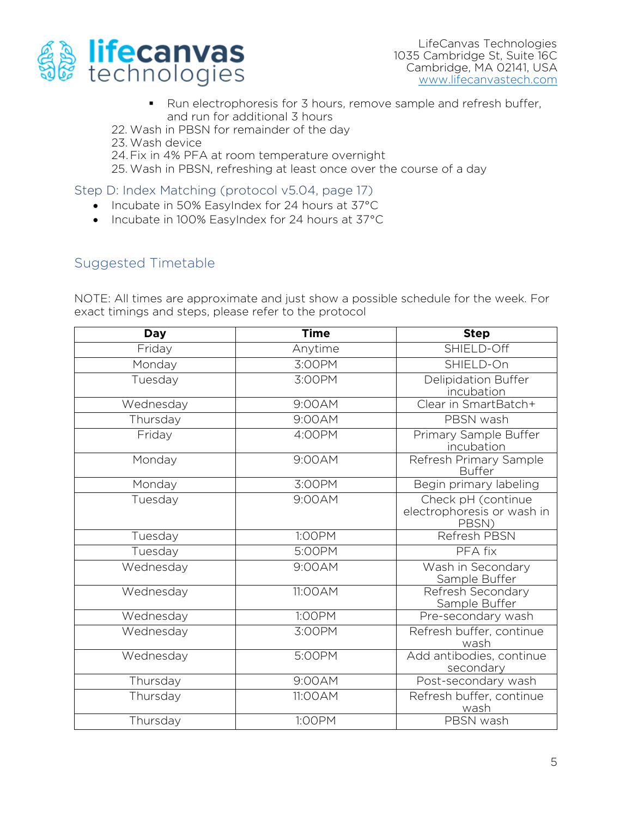

- Run electrophoresis for 3 hours, remove sample and refresh buffer, and run for additional 3 hours
- 22. Wash in PBSN for remainder of the day
- 23. Wash device
- 24. Fix in 4% PFA at room temperature overnight
- 25. Wash in PRSN refreshing at least once over the 25. Wash in PBSN, refreshing at least once over the course of a day

<span id="page-4-0"></span>

- Incubate in 50% EasyIndex for 24 hours at 37°C<br>• Incubate in 100% EasyIndex for 24 hours at 37°C
	- Incubate in 100% EasyIndex for 24 hours at 37°C

## <span id="page-4-1"></span>Suggested Timetable

NOTE: All times are approximate and just show a possible schedule for the week. For<br>exact timings and steps inlease refer to the protocol exact times  $\mathcal{Q}$  and steps, please refer to the protocol

| <b>Day</b> | <b>Time</b> | <b>Step</b>                                               |
|------------|-------------|-----------------------------------------------------------|
| Friday     | Anytime     | SHIELD-Off                                                |
| Monday     | 3:00PM      | SHIELD-On                                                 |
| Tuesday    | 3:00PM      | Delipidation Buffer<br>incubation                         |
| Wednesday  | 9:00AM      | Clear in SmartBatch+                                      |
| Thursday   | 9:00AM      | PBSN wash                                                 |
| Friday     | 4:00PM      | Primary Sample Buffer<br>incubation                       |
| Monday     | 9:00AM      | Refresh Primary Sample<br><b>Buffer</b>                   |
| Monday     | 3:00PM      | Begin primary labeling                                    |
| Tuesday    | 9:00AM      | Check pH (continue<br>electrophoresis or wash in<br>PBSN) |
| Tuesday    | 1:00PM      | Refresh PBSN                                              |
| Tuesday    | 5:00PM      | PFA fix                                                   |
| Wednesday  | 9:00AM      | Wash in Secondary<br>Sample Buffer                        |
| Wednesday  | 11:00AM     | Refresh Secondary<br>Sample Buffer                        |
| Wednesday  | 1:00PM      | Pre-secondary wash                                        |
| Wednesday  | 3:00PM      | Refresh buffer, continue<br>wash                          |
| Wednesday  | 5:00PM      | Add antibodies, continue<br>secondary                     |
| Thursday   | 9:00AM      | Post-secondary wash                                       |
| Thursday   | 11:00AM     | Refresh buffer, continue<br>wash                          |
| Thursday   | 1:00PM      | PBSN wash                                                 |